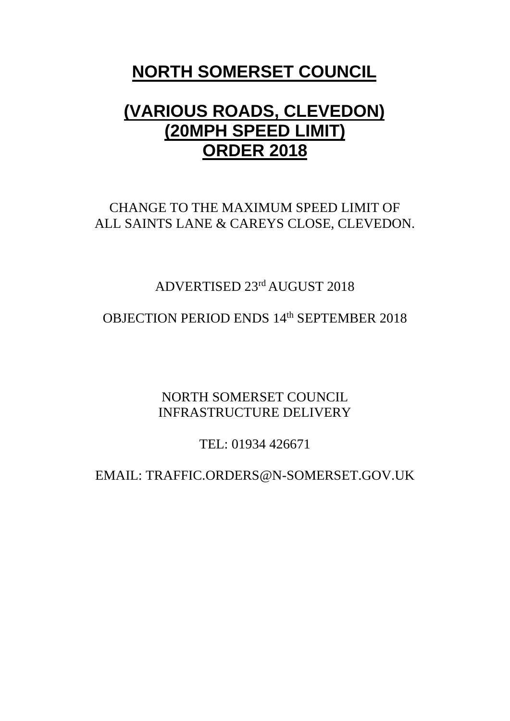# **NORTH SOMERSET COUNCIL**

# **(VARIOUS ROADS, CLEVEDON) (20MPH SPEED LIMIT) ORDER 2018**

## CHANGE TO THE MAXIMUM SPEED LIMIT OF ALL SAINTS LANE & CAREYS CLOSE, CLEVEDON.

# ADVERTISED 23rd AUGUST 2018

## OBJECTION PERIOD ENDS 14<sup>th</sup> SEPTEMBER 2018

NORTH SOMERSET COUNCIL INFRASTRUCTURE DELIVERY

TEL: 01934 426671

EMAIL: TRAFFIC.ORDERS@N-SOMERSET.GOV.UK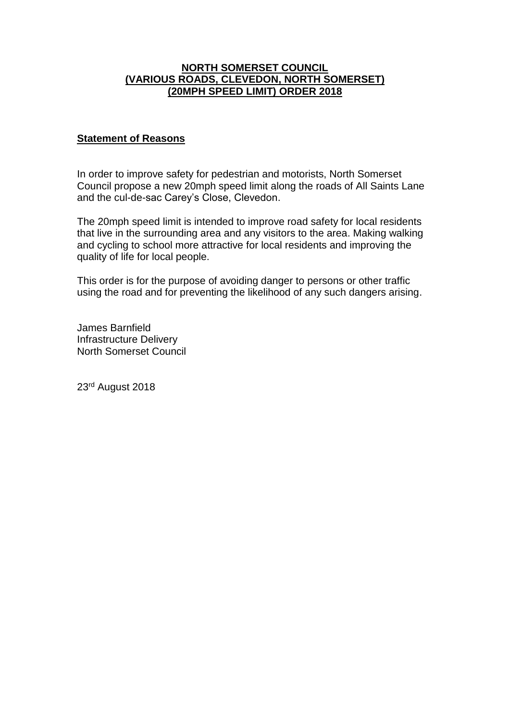### **NORTH SOMERSET COUNCIL (VARIOUS ROADS, CLEVEDON, NORTH SOMERSET) (20MPH SPEED LIMIT) ORDER 2018**

#### **Statement of Reasons**

In order to improve safety for pedestrian and motorists, North Somerset Council propose a new 20mph speed limit along the roads of All Saints Lane and the cul-de-sac Carey's Close, Clevedon.

The 20mph speed limit is intended to improve road safety for local residents that live in the surrounding area and any visitors to the area. Making walking and cycling to school more attractive for local residents and improving the quality of life for local people.

This order is for the purpose of avoiding danger to persons or other traffic using the road and for preventing the likelihood of any such dangers arising.

James Barnfield Infrastructure Delivery North Somerset Council

23rd August 2018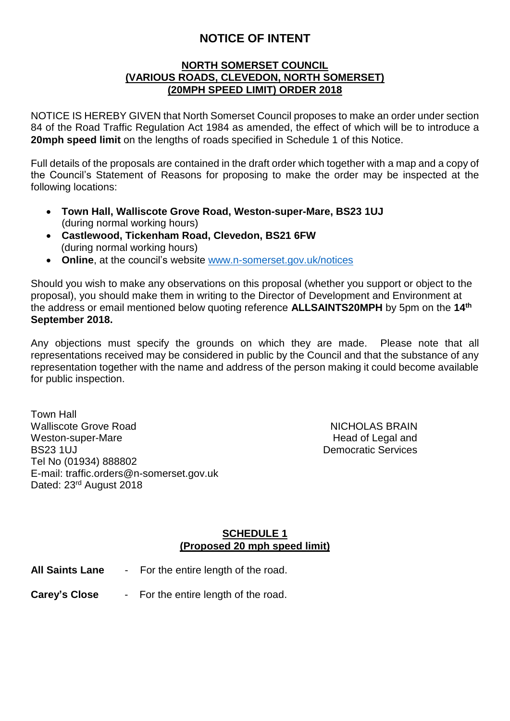## **NOTICE OF INTENT**

### **NORTH SOMERSET COUNCIL (VARIOUS ROADS, CLEVEDON, NORTH SOMERSET) (20MPH SPEED LIMIT) ORDER 2018**

NOTICE IS HEREBY GIVEN that North Somerset Council proposes to make an order under section 84 of the Road Traffic Regulation Act 1984 as amended, the effect of which will be to introduce a **20mph speed limit** on the lengths of roads specified in Schedule 1 of this Notice.

Full details of the proposals are contained in the draft order which together with a map and a copy of the Council's Statement of Reasons for proposing to make the order may be inspected at the following locations:

- **Town Hall, Walliscote Grove Road, Weston-super-Mare, BS23 1UJ** (during normal working hours)
- **Castlewood, Tickenham Road, Clevedon, BS21 6FW** (during normal working hours)
- **Online**, at the council's website [www.n-somerset.gov.uk/notices](http://www.n-somerset.gov.uk/notices)

Should you wish to make any observations on this proposal (whether you support or object to the proposal), you should make them in writing to the Director of Development and Environment at the address or email mentioned below quoting reference **ALLSAINTS20MPH** by 5pm on the **14th September 2018.**

Any objections must specify the grounds on which they are made. Please note that all representations received may be considered in public by the Council and that the substance of any representation together with the name and address of the person making it could become available for public inspection.

Town Hall Walliscote Grove Road NICHOLAS BRAIN Weston-super-Mare **Head of Legal and** BS23 1UJ Democratic Services Tel No (01934) 888802 E-mail: traffic.orders@n-somerset.gov.uk Dated: 23rd August 2018

## **SCHEDULE 1 (Proposed 20 mph speed limit)**

| All Saints Lane | For the entire length of the road. |
|-----------------|------------------------------------|
|-----------------|------------------------------------|

**Carey's Close** - For the entire length of the road.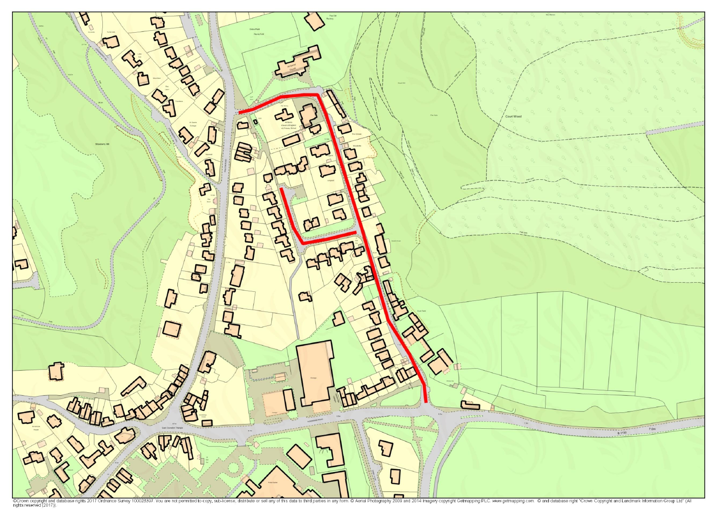

CCrown copyright and database rights 2017 Ordnance Survey 100023397<br>rights reserved (2017)). You are not permitted to copy, sub-license, distribute or sell any of this data to third parties in any form. @ Aerial Photography 2009 and 2014 Imagery copyright Getmapping PLC. www.getmapping.com. @ and database right "C